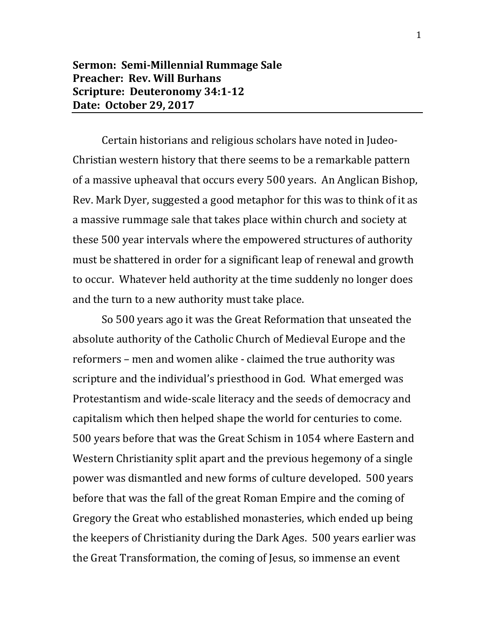## **Sermon: Semi-Millennial Rummage Sale Preacher: Rev. Will Burhans Scripture: Deuteronomy 34:1-12 Date: October 29, 2017**

Certain historians and religious scholars have noted in Judeo-Christian western history that there seems to be a remarkable pattern of a massive upheaval that occurs every 500 years. An Anglican Bishop, Rev. Mark Dyer, suggested a good metaphor for this was to think of it as a massive rummage sale that takes place within church and society at these 500 year intervals where the empowered structures of authority must be shattered in order for a significant leap of renewal and growth to occur. Whatever held authority at the time suddenly no longer does and the turn to a new authority must take place.

So 500 years ago it was the Great Reformation that unseated the absolute authority of the Catholic Church of Medieval Europe and the reformers – men and women alike - claimed the true authority was scripture and the individual's priesthood in God. What emerged was Protestantism and wide-scale literacy and the seeds of democracy and capitalism which then helped shape the world for centuries to come. 500 years before that was the Great Schism in 1054 where Eastern and Western Christianity split apart and the previous hegemony of a single power was dismantled and new forms of culture developed. 500 years before that was the fall of the great Roman Empire and the coming of Gregory the Great who established monasteries, which ended up being the keepers of Christianity during the Dark Ages. 500 years earlier was the Great Transformation, the coming of Jesus, so immense an event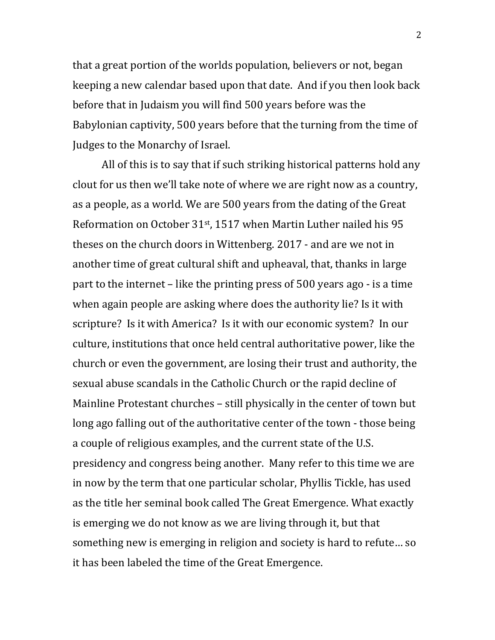that a great portion of the worlds population, believers or not, began keeping a new calendar based upon that date. And if you then look back before that in Judaism you will find 500 years before was the Babylonian captivity, 500 years before that the turning from the time of Judges to the Monarchy of Israel.

All of this is to say that if such striking historical patterns hold any clout for us then we'll take note of where we are right now as a country, as a people, as a world. We are 500 years from the dating of the Great Reformation on October 31st, 1517 when Martin Luther nailed his 95 theses on the church doors in Wittenberg. 2017 - and are we not in another time of great cultural shift and upheaval, that, thanks in large part to the internet – like the printing press of 500 years ago - is a time when again people are asking where does the authority lie? Is it with scripture? Is it with America? Is it with our economic system? In our culture, institutions that once held central authoritative power, like the church or even the government, are losing their trust and authority, the sexual abuse scandals in the Catholic Church or the rapid decline of Mainline Protestant churches – still physically in the center of town but long ago falling out of the authoritative center of the town - those being a couple of religious examples, and the current state of the U.S. presidency and congress being another. Many refer to this time we are in now by the term that one particular scholar, Phyllis Tickle, has used as the title her seminal book called The Great Emergence. What exactly is emerging we do not know as we are living through it, but that something new is emerging in religion and society is hard to refute… so it has been labeled the time of the Great Emergence.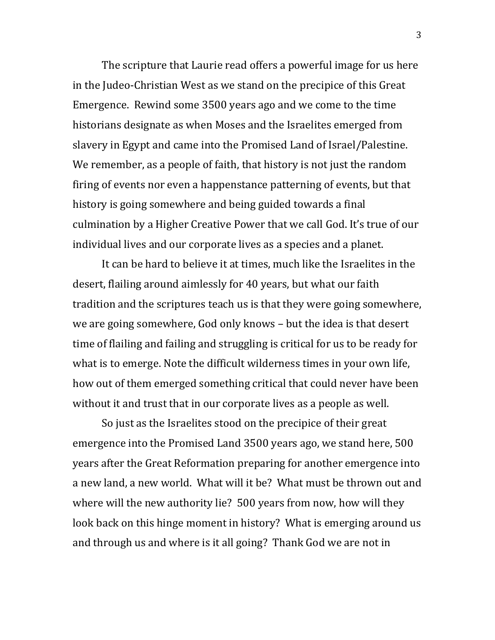The scripture that Laurie read offers a powerful image for us here in the Judeo-Christian West as we stand on the precipice of this Great Emergence. Rewind some 3500 years ago and we come to the time historians designate as when Moses and the Israelites emerged from slavery in Egypt and came into the Promised Land of Israel/Palestine. We remember, as a people of faith, that history is not just the random firing of events nor even a happenstance patterning of events, but that history is going somewhere and being guided towards a final culmination by a Higher Creative Power that we call God. It's true of our individual lives and our corporate lives as a species and a planet.

It can be hard to believe it at times, much like the Israelites in the desert, flailing around aimlessly for 40 years, but what our faith tradition and the scriptures teach us is that they were going somewhere, we are going somewhere, God only knows – but the idea is that desert time of flailing and failing and struggling is critical for us to be ready for what is to emerge. Note the difficult wilderness times in your own life, how out of them emerged something critical that could never have been without it and trust that in our corporate lives as a people as well.

So just as the Israelites stood on the precipice of their great emergence into the Promised Land 3500 years ago, we stand here, 500 years after the Great Reformation preparing for another emergence into a new land, a new world. What will it be? What must be thrown out and where will the new authority lie? 500 years from now, how will they look back on this hinge moment in history? What is emerging around us and through us and where is it all going? Thank God we are not in